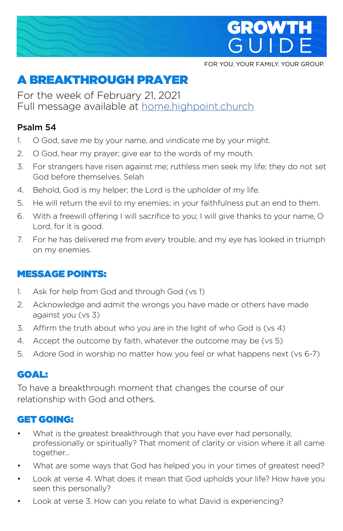

FOR YOU. YOUR FAMILY. YOUR GROUP.

# A BREAKTHROUGH PRAYER

For the week of February 21, 2021 Full message available at **home.highpoint.church** 

#### Psalm 54

- 1. O God, save me by your name, and vindicate me by your might.
- 2. O God, hear my prayer; give ear to the words of my mouth.
- 3. For strangers have risen against me; ruthless men seek my life; they do not set God before themselves. Selah
- 4. Behold, God is my helper; the Lord is the upholder of my life.
- 5. He will return the evil to my enemies; in your faithfulness put an end to them.
- 6. With a freewill offering I will sacrifice to you; I will give thanks to your name, O Lord, for it is good.
- 7. For he has delivered me from every trouble, and my eye has looked in triumph on my enemies.

## MESSAGE POINTS:

- 1. Ask for help from God and through God (vs 1)
- 2. Acknowledge and admit the wrongs you have made or others have made against you (vs 3)
- 3. Affirm the truth about who you are in the light of who God is (vs 4)
- 4. Accept the outcome by faith, whatever the outcome may be (vs 5)
- 5. Adore God in worship no matter how you feel or what happens next (vs 6-7)

## GOAL:

To have a breakthrough moment that changes the course of our relationship with God and others.

# GET GOING:

- What is the greatest breakthrough that you have ever had personally, professionally or spiritually? That moment of clarity or vision where it all came together…
- What are some ways that God has helped you in your times of greatest need?
- Look at verse 4. What does it mean that God upholds your life? How have you seen this personally?
- Look at verse 3. How can you relate to what David is experiencing?